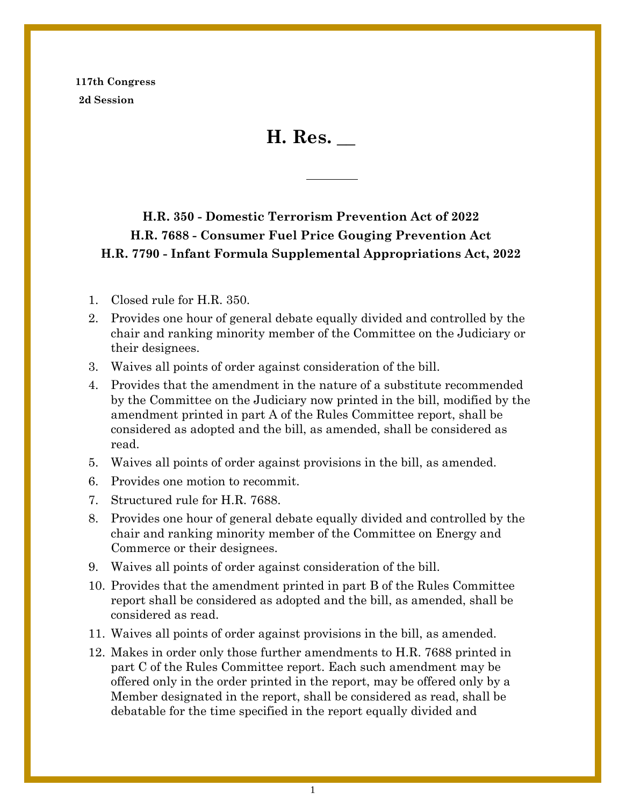**117th Congress 2d Session**

**H. Res. \_\_**

# **H.R. 350 - Domestic Terrorism Prevention Act of 2022 H.R. 7688 - Consumer Fuel Price Gouging Prevention Act H.R. 7790 - Infant Formula Supplemental Appropriations Act, 2022**

- 1. Closed rule for H.R. 350.
- 2. Provides one hour of general debate equally divided and controlled by the chair and ranking minority member of the Committee on the Judiciary or their designees.
- 3. Waives all points of order against consideration of the bill.
- 4. Provides that the amendment in the nature of a substitute recommended by the Committee on the Judiciary now printed in the bill, modified by the amendment printed in part A of the Rules Committee report, shall be considered as adopted and the bill, as amended, shall be considered as read.
- 5. Waives all points of order against provisions in the bill, as amended.
- 6. Provides one motion to recommit.
- 7. Structured rule for H.R. 7688.
- 8. Provides one hour of general debate equally divided and controlled by the chair and ranking minority member of the Committee on Energy and Commerce or their designees.
- 9. Waives all points of order against consideration of the bill.
- 10. Provides that the amendment printed in part B of the Rules Committee report shall be considered as adopted and the bill, as amended, shall be considered as read.
- 11. Waives all points of order against provisions in the bill, as amended.
- 12. Makes in order only those further amendments to H.R. 7688 printed in part C of the Rules Committee report. Each such amendment may be offered only in the order printed in the report, may be offered only by a Member designated in the report, shall be considered as read, shall be debatable for the time specified in the report equally divided and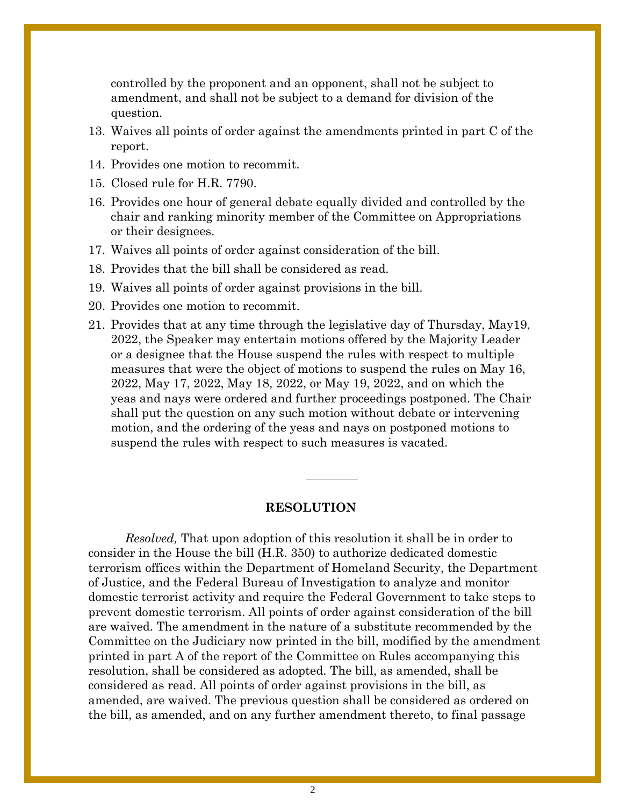controlled by the proponent and an opponent, shall not be subject to amendment, and shall not be subject to a demand for division of the question.

- 13. Waives all points of order against the amendments printed in part C of the report.
- 14. Provides one motion to recommit.
- 15. Closed rule for H.R. 7790.
- 16. Provides one hour of general debate equally divided and controlled by the chair and ranking minority member of the Committee on Appropriations or their designees.
- 17. Waives all points of order against consideration of the bill.
- 18. Provides that the bill shall be considered as read.
- 19. Waives all points of order against provisions in the bill.
- 20. Provides one motion to recommit.
- 21. Provides that at any time through the legislative day of Thursday, May19, 2022, the Speaker may entertain motions offered by the Majority Leader or a designee that the House suspend the rules with respect to multiple measures that were the object of motions to suspend the rules on May 16, 2022, May 17, 2022, May 18, 2022, or May 19, 2022, and on which the yeas and nays were ordered and further proceedings postponed. The Chair shall put the question on any such motion without debate or intervening motion, and the ordering of the yeas and nays on postponed motions to suspend the rules with respect to such measures is vacated.

#### **RESOLUTION**

*Resolved,* That upon adoption of this resolution it shall be in order to consider in the House the bill (H.R. 350) to authorize dedicated domestic terrorism offices within the Department of Homeland Security, the Department of Justice, and the Federal Bureau of Investigation to analyze and monitor domestic terrorist activity and require the Federal Government to take steps to prevent domestic terrorism. All points of order against consideration of the bill are waived. The amendment in the nature of a substitute recommended by the Committee on the Judiciary now printed in the bill, modified by the amendment printed in part A of the report of the Committee on Rules accompanying this resolution, shall be considered as adopted. The bill, as amended, shall be considered as read. All points of order against provisions in the bill, as amended, are waived. The previous question shall be considered as ordered on the bill, as amended, and on any further amendment thereto, to final passage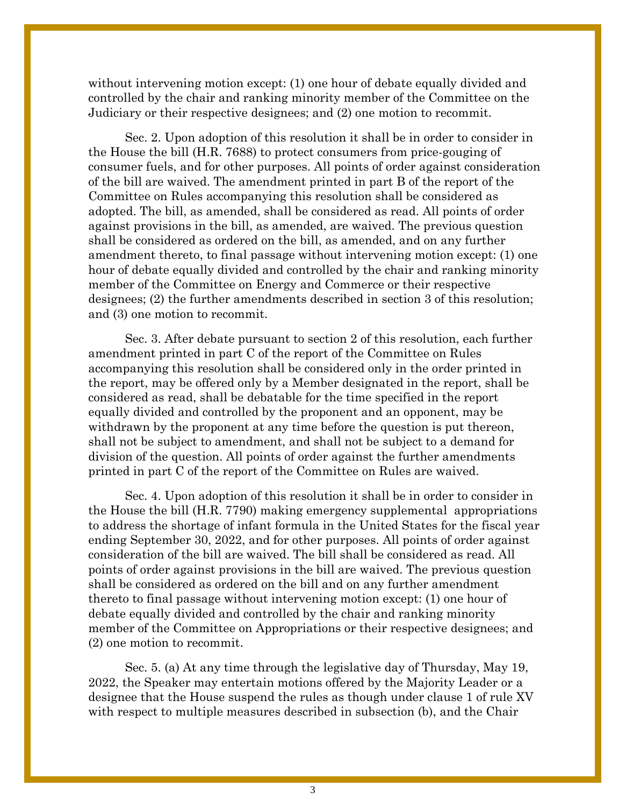without intervening motion except: (1) one hour of debate equally divided and controlled by the chair and ranking minority member of the Committee on the Judiciary or their respective designees; and (2) one motion to recommit.

Sec. 2. Upon adoption of this resolution it shall be in order to consider in the House the bill (H.R. 7688) to protect consumers from price-gouging of consumer fuels, and for other purposes. All points of order against consideration of the bill are waived. The amendment printed in part B of the report of the Committee on Rules accompanying this resolution shall be considered as adopted. The bill, as amended, shall be considered as read. All points of order against provisions in the bill, as amended, are waived. The previous question shall be considered as ordered on the bill, as amended, and on any further amendment thereto, to final passage without intervening motion except: (1) one hour of debate equally divided and controlled by the chair and ranking minority member of the Committee on Energy and Commerce or their respective designees; (2) the further amendments described in section 3 of this resolution; and (3) one motion to recommit.

Sec. 3. After debate pursuant to section 2 of this resolution, each further amendment printed in part C of the report of the Committee on Rules accompanying this resolution shall be considered only in the order printed in the report, may be offered only by a Member designated in the report, shall be considered as read, shall be debatable for the time specified in the report equally divided and controlled by the proponent and an opponent, may be withdrawn by the proponent at any time before the question is put thereon, shall not be subject to amendment, and shall not be subject to a demand for division of the question. All points of order against the further amendments printed in part C of the report of the Committee on Rules are waived.

Sec. 4. Upon adoption of this resolution it shall be in order to consider in the House the bill (H.R. 7790) making emergency supplemental appropriations to address the shortage of infant formula in the United States for the fiscal year ending September 30, 2022, and for other purposes. All points of order against consideration of the bill are waived. The bill shall be considered as read. All points of order against provisions in the bill are waived. The previous question shall be considered as ordered on the bill and on any further amendment thereto to final passage without intervening motion except: (1) one hour of debate equally divided and controlled by the chair and ranking minority member of the Committee on Appropriations or their respective designees; and (2) one motion to recommit.

Sec. 5. (a) At any time through the legislative day of Thursday, May 19, 2022, the Speaker may entertain motions offered by the Majority Leader or a designee that the House suspend the rules as though under clause 1 of rule XV with respect to multiple measures described in subsection (b), and the Chair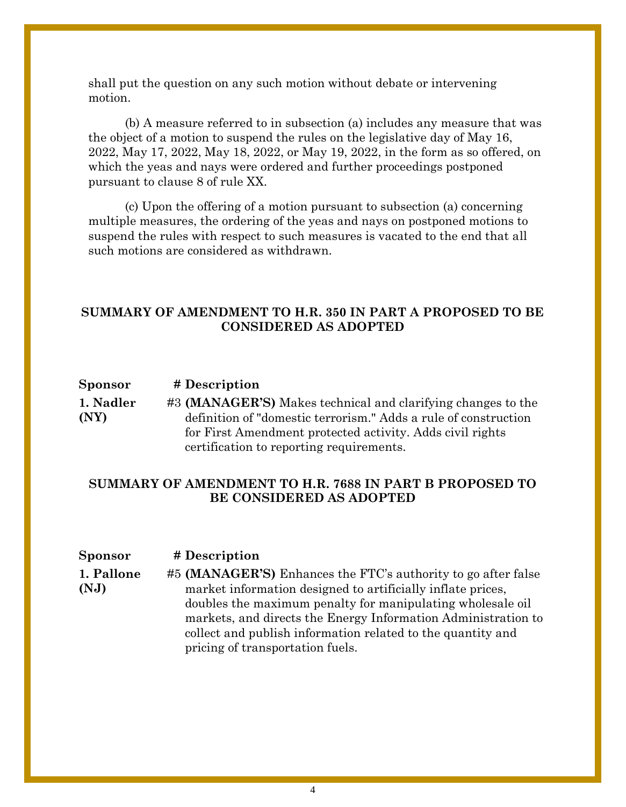shall put the question on any such motion without debate or intervening motion.

(b) A measure referred to in subsection (a) includes any measure that was the object of a motion to suspend the rules on the legislative day of May 16, 2022, May 17, 2022, May 18, 2022, or May 19, 2022, in the form as so offered, on which the yeas and nays were ordered and further proceedings postponed pursuant to clause 8 of rule XX.

(c) Upon the offering of a motion pursuant to subsection (a) concerning multiple measures, the ordering of the yeas and nays on postponed motions to suspend the rules with respect to such measures is vacated to the end that all such motions are considered as withdrawn.

### **SUMMARY OF AMENDMENT TO H.R. 350 IN PART A PROPOSED TO BE CONSIDERED AS ADOPTED**

#### **Sponsor # Description**

**[1. Nadler](https://amendments-rules.house.gov/amendments/MANAGERS2_xml220517130615473.pdf)  [\(NY\)](https://amendments-rules.house.gov/amendments/MANAGERS2_xml220517130615473.pdf)** #3 **(MANAGER'S)** Makes technical and clarifying changes to the definition of "domestic terrorism." Adds a rule of construction for First Amendment protected activity. Adds civil rights certification to reporting requirements.

## **SUMMARY OF AMENDMENT TO H.R. 7688 IN PART B PROPOSED TO BE CONSIDERED AS ADOPTED**

#### **Sponsor # Description**

**[1. Pallone](https://amendments-rules.house.gov/amendments/PALLON_036_xml220515193845957.pdf)  [\(NJ\)](https://amendments-rules.house.gov/amendments/PALLON_036_xml220515193845957.pdf)** #5 **(MANAGER'S)** Enhances the FTC's authority to go after false market information designed to artificially inflate prices, doubles the maximum penalty for manipulating wholesale oil markets, and directs the Energy Information Administration to collect and publish information related to the quantity and pricing of transportation fuels.